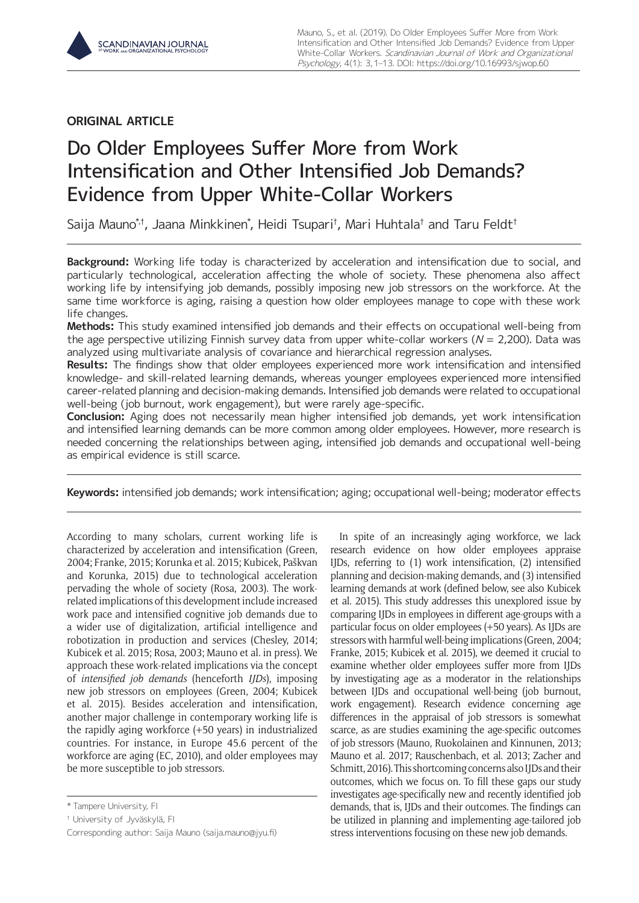# **ORIGINAL ARTICLE**

# Do Older Employees Suffer More from Work Intensification and Other Intensified Job Demands? Evidence from Upper White-Collar Workers

Saija Mauno\*†, Jaana Minkkinen\*, Heidi Tsupari†, Mari Huhtala† and Taru Feldt†

**Background:** Working life today is characterized by acceleration and intensification due to social, and particularly technological, acceleration affecting the whole of society. These phenomena also affect working life by intensifying job demands, possibly imposing new job stressors on the workforce. At the same time workforce is aging, raising a question how older employees manage to cope with these work life changes.

**Methods:** This study examined intensified job demands and their effects on occupational well-being from the age perspective utilizing Finnish survey data from upper white-collar workers ( $N = 2,200$ ). Data was analyzed using multivariate analysis of covariance and hierarchical regression analyses.

**Results:** The findings show that older employees experienced more work intensification and intensified knowledge- and skill-related learning demands, whereas younger employees experienced more intensified career-related planning and decision-making demands. Intensified job demands were related to occupational well-being (job burnout, work engagement), but were rarely age-specific.

**Conclusion:** Aging does not necessarily mean higher intensified job demands, yet work intensification and intensified learning demands can be more common among older employees. However, more research is needed concerning the relationships between aging, intensified job demands and occupational well-being as empirical evidence is still scarce.

**Keywords:** intensified job demands; work intensification; aging; occupational well-being; moderator effects

According to many scholars, current working life is characterized by acceleration and intensification (Green, 2004; Franke, 2015; Korunka et al. 2015; Kubicek, Paškvan and Korunka, 2015) due to technological acceleration pervading the whole of society (Rosa, 2003). The workrelated implications of this development include increased work pace and intensified cognitive job demands due to a wider use of digitalization, artificial intelligence and robotization in production and services (Chesley, 2014; Kubicek et al. 2015; Rosa, 2003; Mauno et al. in press). We approach these work-related implications via the concept of *intensified job demands* (henceforth *IJDs*), imposing new job stressors on employees (Green, 2004; Kubicek et al. 2015). Besides acceleration and intensification, another major challenge in contemporary working life is the rapidly aging workforce (+50 years) in industrialized countries. For instance, in Europe 45.6 percent of the workforce are aging (EC, 2010), and older employees may be more susceptible to job stressors.

In spite of an increasingly aging workforce, we lack research evidence on how older employees appraise IJDs, referring to (1) work intensification, (2) intensified planning and decision-making demands, and (3) intensified learning demands at work (defined below, see also Kubicek et al. 2015). This study addresses this unexplored issue by comparing IJDs in employees in different age-groups with a particular focus on older employees (+50 years). As IJDs are stressors with harmful well-being implications (Green, 2004; Franke, 2015; Kubicek et al. 2015), we deemed it crucial to examine whether older employees suffer more from IJDs by investigating age as a moderator in the relationships between IJDs and occupational well-being (job burnout, work engagement). Research evidence concerning age differences in the appraisal of job stressors is somewhat scarce, as are studies examining the age-specific outcomes of job stressors (Mauno, Ruokolainen and Kinnunen, 2013; Mauno et al. 2017; Rauschenbach, et al. 2013; Zacher and Schmitt, 2016). This shortcoming concerns also IJDs and their outcomes, which we focus on. To fill these gaps our study investigates age-specifically new and recently identified job demands, that is, IJDs and their outcomes. The findings can be utilized in planning and implementing age-tailored job stress interventions focusing on these new job demands.

<sup>\*</sup> Tampere University, FI

<sup>†</sup> University of Jyväskylä, FI

Corresponding author: Saija Mauno [\(saija.mauno@jyu.fi](mailto:saija.mauno@jyu.fi))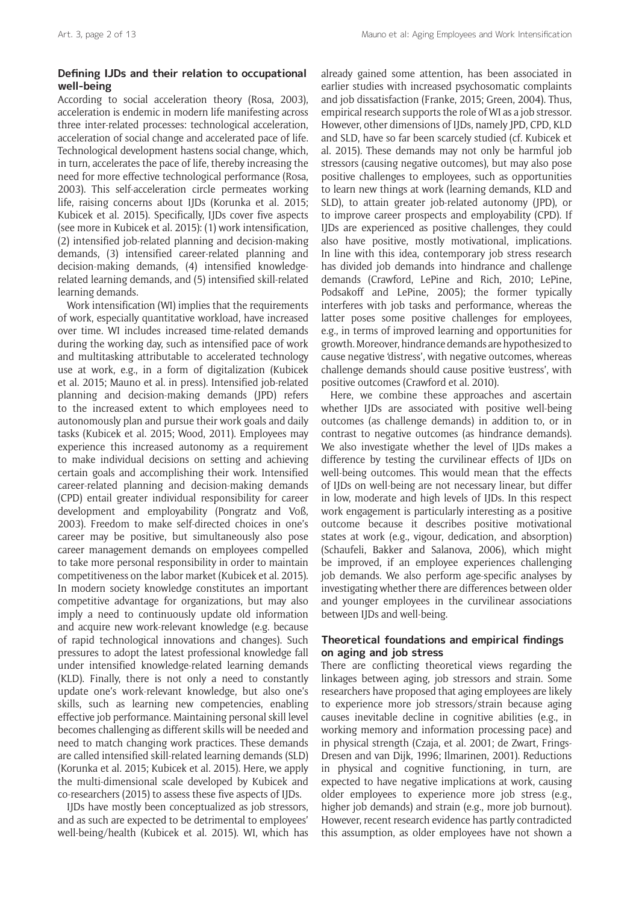# **Defining IJDs and their relation to occupational well-being**

According to social acceleration theory (Rosa, 2003), acceleration is endemic in modern life manifesting across three inter-related processes: technological acceleration, acceleration of social change and accelerated pace of life. Technological development hastens social change, which, in turn, accelerates the pace of life, thereby increasing the need for more effective technological performance (Rosa, 2003). This self-acceleration circle permeates working life, raising concerns about IJDs (Korunka et al. 2015; Kubicek et al. 2015). Specifically, IJDs cover five aspects (see more in Kubicek et al. 2015): (1) work intensification, (2) intensified job-related planning and decision-making demands, (3) intensified career-related planning and decision-making demands, (4) intensified knowledgerelated learning demands, and (5) intensified skill-related learning demands.

Work intensification (WI) implies that the requirements of work, especially quantitative workload, have increased over time. WI includes increased time-related demands during the working day, such as intensified pace of work and multitasking attributable to accelerated technology use at work, e.g., in a form of digitalization (Kubicek et al. 2015; Mauno et al. in press). Intensified job-related planning and decision-making demands (JPD) refers to the increased extent to which employees need to autonomously plan and pursue their work goals and daily tasks (Kubicek et al. 2015; Wood, 2011). Employees may experience this increased autonomy as a requirement to make individual decisions on setting and achieving certain goals and accomplishing their work. Intensified career-related planning and decision-making demands (CPD) entail greater individual responsibility for career development and employability (Pongratz and Voß, 2003). Freedom to make self-directed choices in one's career may be positive, but simultaneously also pose career management demands on employees compelled to take more personal responsibility in order to maintain competitiveness on the labor market (Kubicek et al. 2015). In modern society knowledge constitutes an important competitive advantage for organizations, but may also imply a need to continuously update old information and acquire new work-relevant knowledge (e.g. because of rapid technological innovations and changes). Such pressures to adopt the latest professional knowledge fall under intensified knowledge-related learning demands (KLD). Finally, there is not only a need to constantly update one's work-relevant knowledge, but also one's skills, such as learning new competencies, enabling effective job performance. Maintaining personal skill level becomes challenging as different skills will be needed and need to match changing work practices. These demands are called intensified skill-related learning demands (SLD) (Korunka et al. 2015; Kubicek et al. 2015). Here, we apply the multi-dimensional scale developed by Kubicek and co-researchers (2015) to assess these five aspects of IJDs.

IJDs have mostly been conceptualized as job stressors, and as such are expected to be detrimental to employees' well-being/health (Kubicek et al. 2015). WI, which has already gained some attention, has been associated in earlier studies with increased psychosomatic complaints and job dissatisfaction (Franke, 2015; Green, 2004). Thus, empirical research supports the role of WI as a job stressor. However, other dimensions of IJDs, namely JPD, CPD, KLD and SLD, have so far been scarcely studied (cf. Kubicek et al. 2015). These demands may not only be harmful job stressors (causing negative outcomes), but may also pose positive challenges to employees, such as opportunities to learn new things at work (learning demands, KLD and SLD), to attain greater job-related autonomy (JPD), or to improve career prospects and employability (CPD). If IJDs are experienced as positive challenges, they could also have positive, mostly motivational, implications. In line with this idea, contemporary job stress research has divided job demands into hindrance and challenge demands (Crawford, LePine and Rich, 2010; LePine, Podsakoff and LePine, 2005); the former typically interferes with job tasks and performance, whereas the latter poses some positive challenges for employees, e.g., in terms of improved learning and opportunities for growth. Moreover, hindrance demands are hypothesized to cause negative 'distress', with negative outcomes, whereas challenge demands should cause positive 'eustress', with positive outcomes (Crawford et al. 2010).

Here, we combine these approaches and ascertain whether IJDs are associated with positive well-being outcomes (as challenge demands) in addition to, or in contrast to negative outcomes (as hindrance demands). We also investigate whether the level of IJDs makes a difference by testing the curvilinear effects of IJDs on well-being outcomes. This would mean that the effects of IJDs on well-being are not necessary linear, but differ in low, moderate and high levels of IJDs. In this respect work engagement is particularly interesting as a positive outcome because it describes positive motivational states at work (e.g., vigour, dedication, and absorption) (Schaufeli, Bakker and Salanova, 2006), which might be improved, if an employee experiences challenging job demands. We also perform age-specific analyses by investigating whether there are differences between older and younger employees in the curvilinear associations between IJDs and well-being.

# **Theoretical foundations and empirical findings on aging and job stress**

There are conflicting theoretical views regarding the linkages between aging, job stressors and strain. Some researchers have proposed that aging employees are likely to experience more job stressors/strain because aging causes inevitable decline in cognitive abilities (e.g., in working memory and information processing pace) and in physical strength (Czaja, et al. 2001; de Zwart, Frings-Dresen and van Dijk, 1996; Ilmarinen, 2001). Reductions in physical and cognitive functioning, in turn, are expected to have negative implications at work, causing older employees to experience more job stress (e.g., higher job demands) and strain (e.g., more job burnout). However, recent research evidence has partly contradicted this assumption, as older employees have not shown a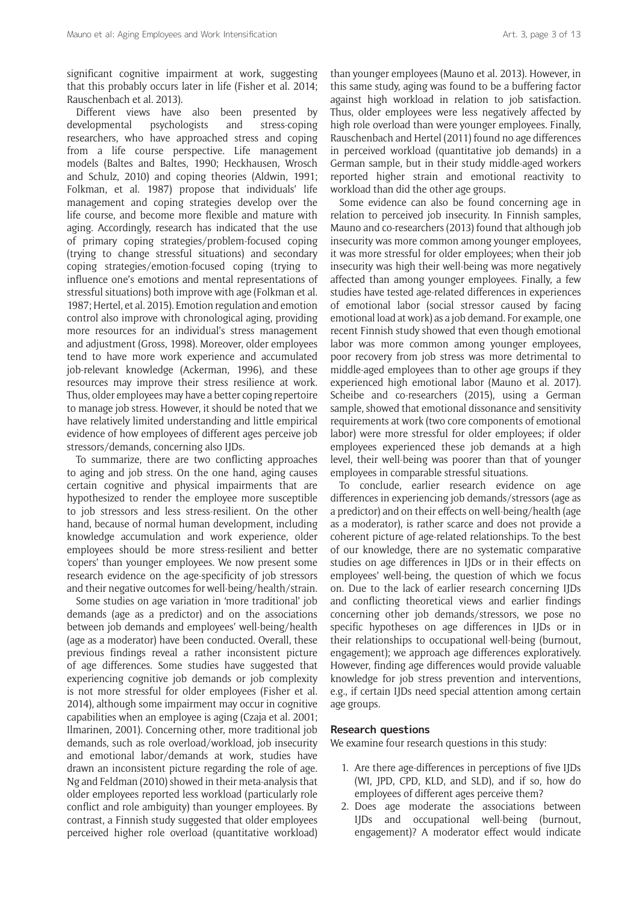significant cognitive impairment at work, suggesting that this probably occurs later in life (Fisher et al. 2014; Rauschenbach et al. 2013).

Different views have also been presented by developmental psychologists and stress-coping researchers, who have approached stress and coping from a life course perspective. Life management models (Baltes and Baltes, 1990; Heckhausen, Wrosch and Schulz, 2010) and coping theories (Aldwin, 1991; Folkman, et al. 1987) propose that individuals' life management and coping strategies develop over the life course, and become more flexible and mature with aging. Accordingly, research has indicated that the use of primary coping strategies/problem-focused coping (trying to change stressful situations) and secondary coping strategies/emotion-focused coping (trying to influence one's emotions and mental representations of stressful situations) both improve with age (Folkman et al. 1987; Hertel, et al. 2015). Emotion regulation and emotion control also improve with chronological aging, providing more resources for an individual's stress management and adjustment (Gross, 1998). Moreover, older employees tend to have more work experience and accumulated job-relevant knowledge (Ackerman, 1996), and these resources may improve their stress resilience at work. Thus, older employees may have a better coping repertoire to manage job stress. However, it should be noted that we have relatively limited understanding and little empirical evidence of how employees of different ages perceive job stressors/demands, concerning also IJDs.

To summarize, there are two conflicting approaches to aging and job stress. On the one hand, aging causes certain cognitive and physical impairments that are hypothesized to render the employee more susceptible to job stressors and less stress-resilient. On the other hand, because of normal human development, including knowledge accumulation and work experience, older employees should be more stress-resilient and better 'copers' than younger employees. We now present some research evidence on the age-specificity of job stressors and their negative outcomes for well-being/health/strain.

Some studies on age variation in 'more traditional' job demands (age as a predictor) and on the associations between job demands and employees' well-being/health (age as a moderator) have been conducted. Overall, these previous findings reveal a rather inconsistent picture of age differences. Some studies have suggested that experiencing cognitive job demands or job complexity is not more stressful for older employees (Fisher et al. 2014), although some impairment may occur in cognitive capabilities when an employee is aging (Czaja et al. 2001; Ilmarinen, 2001). Concerning other, more traditional job demands, such as role overload/workload, job insecurity and emotional labor/demands at work, studies have drawn an inconsistent picture regarding the role of age. Ng and Feldman (2010) showed in their meta-analysis that older employees reported less workload (particularly role conflict and role ambiguity) than younger employees. By contrast, a Finnish study suggested that older employees perceived higher role overload (quantitative workload) than younger employees (Mauno et al. 2013). However, in this same study, aging was found to be a buffering factor against high workload in relation to job satisfaction. Thus, older employees were less negatively affected by high role overload than were younger employees. Finally, Rauschenbach and Hertel (2011) found no age differences in perceived workload (quantitative job demands) in a German sample, but in their study middle-aged workers reported higher strain and emotional reactivity to workload than did the other age groups.

Some evidence can also be found concerning age in relation to perceived job insecurity. In Finnish samples, Mauno and co-researchers (2013) found that although job insecurity was more common among younger employees, it was more stressful for older employees; when their job insecurity was high their well-being was more negatively affected than among younger employees. Finally, a few studies have tested age-related differences in experiences of emotional labor (social stressor caused by facing emotional load at work) as a job demand. For example, one recent Finnish study showed that even though emotional labor was more common among younger employees, poor recovery from job stress was more detrimental to middle-aged employees than to other age groups if they experienced high emotional labor (Mauno et al. 2017). Scheibe and co-researchers (2015), using a German sample, showed that emotional dissonance and sensitivity requirements at work (two core components of emotional labor) were more stressful for older employees; if older employees experienced these job demands at a high level, their well-being was poorer than that of younger employees in comparable stressful situations.

To conclude, earlier research evidence on age differences in experiencing job demands/stressors (age as a predictor) and on their effects on well-being/health (age as a moderator), is rather scarce and does not provide a coherent picture of age-related relationships. To the best of our knowledge, there are no systematic comparative studies on age differences in IJDs or in their effects on employees' well-being, the question of which we focus on. Due to the lack of earlier research concerning IJDs and conflicting theoretical views and earlier findings concerning other job demands/stressors, we pose no specific hypotheses on age differences in IJDs or in their relationships to occupational well-being (burnout, engagement); we approach age differences exploratively. However, finding age differences would provide valuable knowledge for job stress prevention and interventions, e.g., if certain IJDs need special attention among certain age groups.

#### **Research questions**

We examine four research questions in this study:

- 1. Are there age-differences in perceptions of five IJDs (WI, JPD, CPD, KLD, and SLD), and if so, how do employees of different ages perceive them?
- 2. Does age moderate the associations between IJDs and occupational well-being (burnout, engagement)? A moderator effect would indicate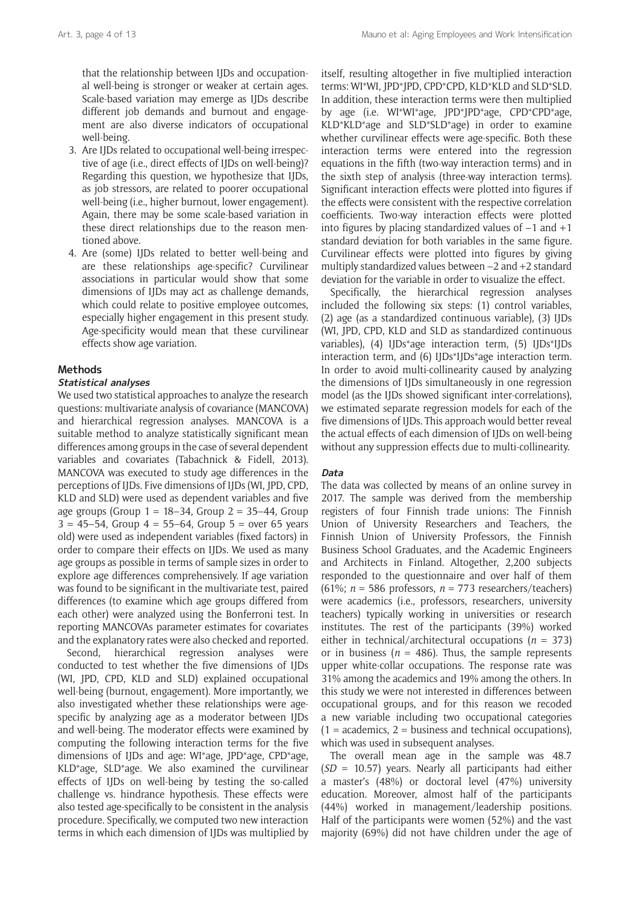that the relationship between IJDs and occupational well-being is stronger or weaker at certain ages. Scale-based variation may emerge as IJDs describe different job demands and burnout and engagement are also diverse indicators of occupational well-being.

- 3. Are IJDs related to occupational well-being irrespective of age (i.e., direct effects of IJDs on well-being)? Regarding this question, we hypothesize that IJDs, as job stressors, are related to poorer occupational well-being (i.e., higher burnout, lower engagement). Again, there may be some scale-based variation in these direct relationships due to the reason mentioned above.
- 4. Are (some) IJDs related to better well-being and are these relationships age-specific? Curvilinear associations in particular would show that some dimensions of IJDs may act as challenge demands, which could relate to positive employee outcomes, especially higher engagement in this present study. Age-specificity would mean that these curvilinear effects show age variation.

# **Methods**

#### **Statistical analyses**

We used two statistical approaches to analyze the research questions: multivariate analysis of covariance (MANCOVA) and hierarchical regression analyses. MANCOVA is a suitable method to analyze statistically significant mean differences among groups in the case of several dependent variables and covariates (Tabachnick & Fidell, 2013). MANCOVA was executed to study age differences in the perceptions of IJDs. Five dimensions of IJDs (WI, JPD, CPD, KLD and SLD) were used as dependent variables and five age groups (Group 1 = 18–34, Group 2 = 35–44, Group  $3 = 45 - 54$ . Group  $4 = 55 - 64$ . Group  $5 =$  over 65 years old) were used as independent variables (fixed factors) in order to compare their effects on IJDs. We used as many age groups as possible in terms of sample sizes in order to explore age differences comprehensively. If age variation was found to be significant in the multivariate test, paired differences (to examine which age groups differed from each other) were analyzed using the Bonferroni test. In reporting MANCOVAs parameter estimates for covariates and the explanatory rates were also checked and reported.

Second, hierarchical regression analyses were conducted to test whether the five dimensions of IJDs (WI, JPD, CPD, KLD and SLD) explained occupational well-being (burnout, engagement). More importantly, we also investigated whether these relationships were agespecific by analyzing age as a moderator between IJDs and well-being. The moderator effects were examined by computing the following interaction terms for the five dimensions of IJDs and age: WI\*age, JPD\*age, CPD\*age, KLD\*age, SLD\*age. We also examined the curvilinear effects of IJDs on well-being by testing the so-called challenge vs. hindrance hypothesis. These effects were also tested age-specifically to be consistent in the analysis procedure. Specifically, we computed two new interaction terms in which each dimension of IJDs was multiplied by itself, resulting altogether in five multiplied interaction terms: WI\*WI, JPD\*JPD, CPD\*CPD, KLD\*KLD and SLD\*SLD. In addition, these interaction terms were then multiplied by age (i.e. WI\*WI\*age, JPD\*JPD\*age, CPD\*CPD\*age, KLD\*KLD\*age and SLD\*SLD\*age) in order to examine whether curvilinear effects were age-specific. Both these interaction terms were entered into the regression equations in the fifth (two-way interaction terms) and in the sixth step of analysis (three-way interaction terms). Significant interaction effects were plotted into figures if the effects were consistent with the respective correlation coefficients. Two-way interaction effects were plotted into figures by placing standardized values of  $-1$  and  $+1$ standard deviation for both variables in the same figure. Curvilinear effects were plotted into figures by giving multiply standardized values between –2 and +2 standard deviation for the variable in order to visualize the effect.

Specifically, the hierarchical regression analyses included the following six steps: (1) control variables, (2) age (as a standardized continuous variable), (3) IJDs (WI, JPD, CPD, KLD and SLD as standardized continuous variables), (4) IJDs\*age interaction term, (5) IJDs\*IJDs interaction term, and (6) IJDs\*IJDs\*age interaction term. In order to avoid multi-collinearity caused by analyzing the dimensions of IJDs simultaneously in one regression model (as the IJDs showed significant inter-correlations), we estimated separate regression models for each of the five dimensions of IJDs. This approach would better reveal the actual effects of each dimension of IJDs on well-being without any suppression effects due to multi-collinearity.

### **Data**

The data was collected by means of an online survey in 2017. The sample was derived from the membership registers of four Finnish trade unions: The Finnish Union of University Researchers and Teachers, the Finnish Union of University Professors, the Finnish Business School Graduates, and the Academic Engineers and Architects in Finland. Altogether, 2,200 subjects responded to the questionnaire and over half of them (61%; *n* = 586 professors, *n* = 773 researchers/teachers) were academics (i.e., professors, researchers, university teachers) typically working in universities or research institutes. The rest of the participants (39%) worked either in technical/architectural occupations (*n* = 373) or in business ( $n = 486$ ). Thus, the sample represents upper white-collar occupations. The response rate was 31% among the academics and 19% among the others. In this study we were not interested in differences between occupational groups, and for this reason we recoded a new variable including two occupational categories  $(1 = \alpha$  academics,  $2 = \alpha$  business and technical occupations), which was used in subsequent analyses.

The overall mean age in the sample was 48.7 (*SD* = 10.57) years. Nearly all participants had either a master's (48%) or doctoral level (47%) university education. Moreover, almost half of the participants (44%) worked in management/leadership positions. Half of the participants were women (52%) and the vast majority (69%) did not have children under the age of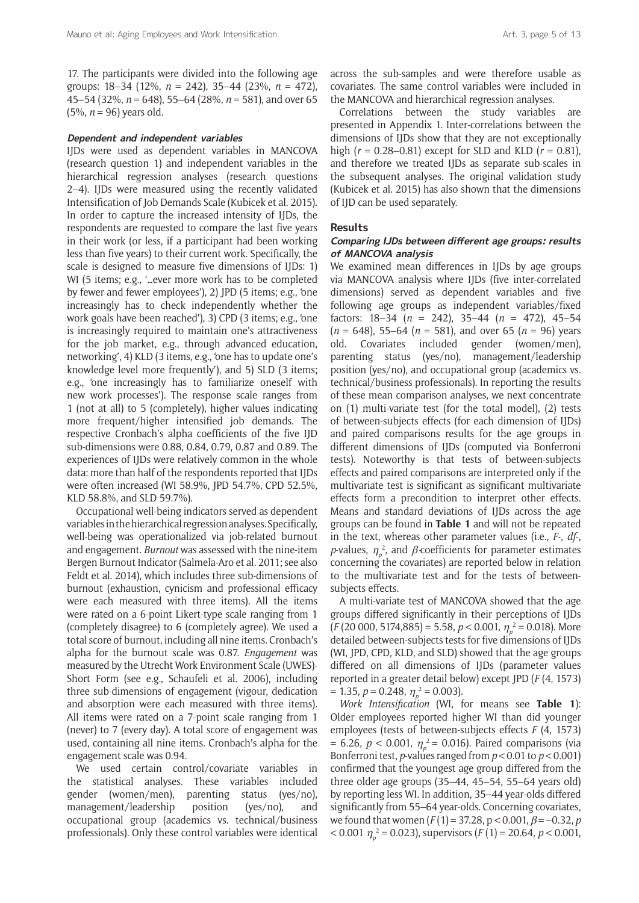17. The participants were divided into the following age groups: 18–34 (12%, *n* = 242), 35–44 (23%, *n* = 472), 45–54 (32%, *n* = 648), 55–64 (28%, *n* = 581), and over 65 (5%, *n* = 96) years old.

#### **Dependent and independent variables**

IJDs were used as dependent variables in MANCOVA (research question 1) and independent variables in the hierarchical regression analyses (research questions 2–4). IJDs were measured using the recently validated Intensification of Job Demands Scale (Kubicek et al. 2015). In order to capture the increased intensity of IJDs, the respondents are requested to compare the last five years in their work (or less, if a participant had been working less than five years) to their current work. Specifically, the scale is designed to measure five dimensions of IJDs: 1) WI (5 items; e.g., '…ever more work has to be completed by fewer and fewer employees'), 2) JPD (5 items; e.g., 'one increasingly has to check independently whether the work goals have been reached'), 3) CPD (3 items; e.g., 'one is increasingly required to maintain one's attractiveness for the job market, e.g., through advanced education, networking', 4) KLD (3 items, e.g., 'one has to update one's knowledge level more frequently'), and 5) SLD (3 items; e.g., 'one increasingly has to familiarize oneself with new work processes'). The response scale ranges from 1 (not at all) to 5 (completely), higher values indicating more frequent/higher intensified job demands. The respective Cronbach's alpha coefficients of the five IJD sub-dimensions were 0.88, 0.84, 0.79, 0.87 and 0.89. The experiences of IJDs were relatively common in the whole data: more than half of the respondents reported that IJDs were often increased (WI 58.9%, JPD 54.7%, CPD 52.5%, KLD 58.8%, and SLD 59.7%).

Occupational well-being indicators served as dependent variables in the hierarchical regression analyses. Specifically, well-being was operationalized via job-related burnout and engagement. *Burnout* was assessed with the nine-item Bergen Burnout Indicator (Salmela-Aro et al. 2011; see also Feldt et al. 2014), which includes three sub-dimensions of burnout (exhaustion, cynicism and professional efficacy were each measured with three items). All the items were rated on a 6-point Likert-type scale ranging from 1 (completely disagree) to 6 (completely agree). We used a total score of burnout, including all nine items. Cronbach's alpha for the burnout scale was 0.87. *Engagement* was measured by the Utrecht Work Environment Scale (UWES)- Short Form (see e.g., Schaufeli et al. 2006), including three sub-dimensions of engagement (vigour, dedication and absorption were each measured with three items). All items were rated on a 7-point scale ranging from 1 (never) to 7 (every day). A total score of engagement was used, containing all nine items. Cronbach's alpha for the engagement scale was 0.94.

We used certain control/covariate variables in the statistical analyses. These variables included gender (women/men), parenting status (yes/no), management/leadership position (yes/no), and occupational group (academics vs. technical/business professionals). Only these control variables were identical

across the sub-samples and were therefore usable as covariates. The same control variables were included in the MANCOVA and hierarchical regression analyses.

Correlations between the study variables are presented in Appendix 1. Inter-correlations between the dimensions of IJDs show that they are not exceptionally high (*r* = 0.28–0.81) except for SLD and KLD (*r* = 0.81), and therefore we treated IJDs as separate sub-scales in the subsequent analyses. The original validation study (Kubicek et al. 2015) has also shown that the dimensions of IJD can be used separately.

#### **Results**

# **Comparing IJDs between different age groups: results of MANCOVA analysis**

We examined mean differences in IJDs by age groups via MANCOVA analysis where IJDs (five inter-correlated dimensions) served as dependent variables and five following age groups as independent variables/fixed factors: 18–34 (*n* = 242), 35–44 (*n* = 472), 45–54 (*n* = 648), 55–64 (*n* = 581), and over 65 (*n* = 96) years old. Covariates included gender (women/men), parenting status (yes/no), management/leadership position (yes/no), and occupational group (academics vs. technical/business professionals). In reporting the results of these mean comparison analyses, we next concentrate on (1) multi-variate test (for the total model), (2) tests of between-subjects effects (for each dimension of IJDs) and paired comparisons results for the age groups in different dimensions of IJDs (computed via Bonferroni tests). Noteworthy is that tests of between-subjects effects and paired comparisons are interpreted only if the multivariate test is significant as significant multivariate effects form a precondition to interpret other effects. Means and standard deviations of IJDs across the age groups can be found in **Table 1** and will not be repeated in the text, whereas other parameter values (i.e., *F*-, *df*-, *p*-values,  $\eta_p^2$ , and  $\beta$ -coefficients for parameter estimates concerning the covariates) are reported below in relation to the multivariate test and for the tests of betweensubjects effects.

A multi-variate test of MANCOVA showed that the age groups differed significantly in their perceptions of IJDs (*F* (20 000, 5174,885) = 5.58, *p* < 0.001, <sup>η</sup>*<sup>p</sup>* 2 = 0.018). More detailed between-subjects tests for five dimensions of IJDs (WI, JPD, CPD, KLD, and SLD) showed that the age groups differed on all dimensions of IJDs (parameter values reported in a greater detail below) except JPD (*F* (4, 1573)  $= 1.35, p = 0.248, \eta_p^2 = 0.003$ .

*Work Intensification* (WI, for means see **Table 1**): Older employees reported higher WI than did younger employees (tests of between-subjects effects *F* (4, 1573)  $= 6.26, p < 0.001, \eta_p^2 = 0.016$ ). Paired comparisons (via Bonferroni test, *p*-values ranged from  $p < 0.01$  to  $p < 0.001$ ) confirmed that the youngest age group differed from the three older age groups (35–44, 45–54, 55–64 years old) by reporting less WI. In addition, 35–44 year-olds differed significantly from 55–64 year-olds. Concerning covariates, we found that women  $(F(1) = 37.28, p < 0.001, \beta = -0.32, p$  $<$  0.001  $\eta_p^2$  = 0.023), supervisors (*F* (1) = 20.64, *p* < 0.001,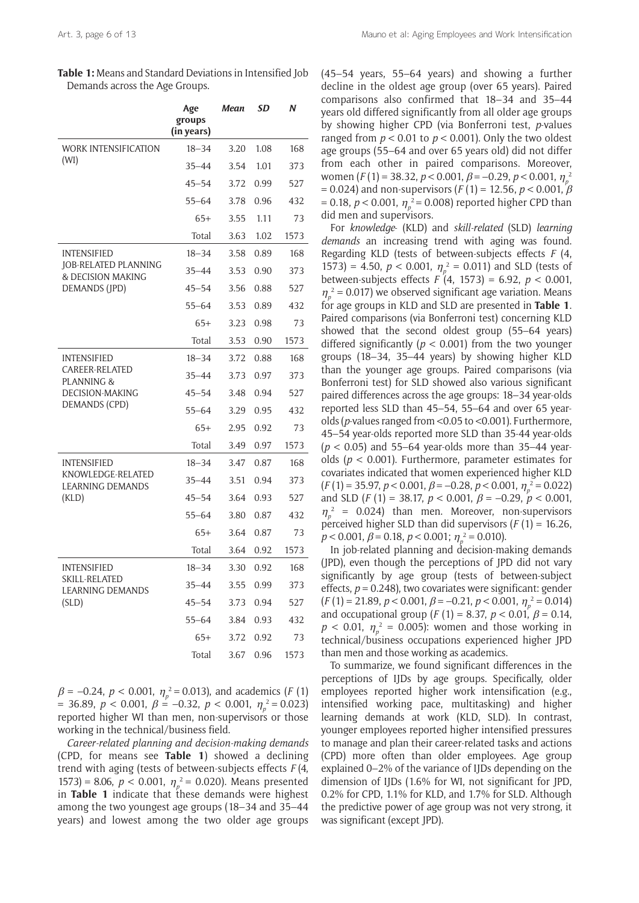| Table 1: Means and Standard Deviations in Intensified Job |
|-----------------------------------------------------------|
| Demands across the Age Groups.                            |

|                                                | Age<br>groups<br>(in years) | Mean | SD   | Ν    |
|------------------------------------------------|-----------------------------|------|------|------|
| <b>WORK INTENSIFICATION</b>                    | $18 - 34$                   | 3.20 | 1.08 | 168  |
| (WI)                                           | $35 - 44$                   | 3.54 | 1.01 | 373  |
|                                                | $45 - 54$                   | 3.72 | 0.99 | 527  |
|                                                | $55 - 64$                   | 3.78 | 0.96 | 432  |
|                                                | $65+$                       | 3.55 | 1.11 | 73   |
|                                                | Total                       | 3.63 | 1.02 | 1573 |
| <b>INTENSIFIED</b>                             | $18 - 34$                   | 3.58 | 0.89 | 168  |
| JOB-RELATED PLANNING<br>& DECISION MAKING      | $35 - 44$                   | 3.53 | 0.90 | 373  |
| DEMANDS (JPD)                                  | $45 - 54$                   | 3.56 | 0.88 | 527  |
|                                                | $55 - 64$                   | 3.53 | 0.89 | 432  |
|                                                | $65+$                       | 3.23 | 0.98 | 73   |
|                                                | Total                       | 3.53 | 0.90 | 1573 |
| <b>INTENSIFIED</b>                             | $18 - 34$                   | 3.72 | 0.88 | 168  |
| <b>CAREER-RELATED</b><br><b>PLANNING &amp;</b> | $35 - 44$                   | 3.73 | 0.97 | 373  |
| <b>DECISION-MAKING</b>                         | $45 - 54$                   | 3.48 | 0.94 | 527  |
| DEMANDS (CPD)                                  | $55 - 64$                   | 3.29 | 0.95 | 432  |
|                                                | $65+$                       | 2.95 | 0.92 | 73   |
|                                                | Total                       | 3.49 | 0.97 | 1573 |
| <b>INTENSIFIED</b>                             | $18 - 34$                   | 3.47 | 0.87 | 168  |
| KNOWLEDGE-RELATED<br><b>LEARNING DEMANDS</b>   | $35 - 44$                   | 3.51 | 0.94 | 373  |
| (KLD)                                          | $45 - 54$                   | 3.64 | 0.93 | 527  |
|                                                | $55 - 64$                   | 3.80 | 0.87 | 432  |
|                                                | $65+$                       | 3.64 | 0.87 | 73   |
|                                                | Total                       | 3.64 | 0.92 | 1573 |
| <b>INTENSIFIED</b>                             | $18 - 34$                   | 3.30 | 0.92 | 168  |
| SKILL-RELATED<br><b>LEARNING DEMANDS</b>       | $35 - 44$                   | 3.55 | 0.99 | 373  |
| (SLD)                                          | $45 - 54$                   | 3.73 | 0.94 | 527  |
|                                                | $55 - 64$                   | 3.84 | 0.93 | 432  |
|                                                | $65+$                       | 3.72 | 0.92 | 73   |
|                                                | Total                       | 3.67 | 0.96 | 1573 |

 $\beta = -0.24$ ,  $p < 0.001$ ,  $\eta_p^2 = 0.013$ ), and academics (*F* (1) = 36.89,  $p < 0.001$ ,  $\beta = -0.32$ ,  $p < 0.001$ ,  $\eta_p^2 = 0.023$ ) reported higher WI than men, non-supervisors or those working in the technical/business field.

*Career-related planning and decision-making demands*  (CPD, for means see **Table 1**) showed a declining trend with aging (tests of between-subjects effects *F* (4, 1573) = 8.06,  $p < 0.001$ ,  $\eta_p^2 = 0.020$ ). Means presented in **Table 1** indicate that these demands were highest among the two youngest age groups (18–34 and 35–44 years) and lowest among the two older age groups

(45–54 years, 55–64 years) and showing a further decline in the oldest age group (over 65 years). Paired comparisons also confirmed that 18–34 and 35–44 years old differed significantly from all older age groups by showing higher CPD (via Bonferroni test, *p*-values ranged from  $p < 0.01$  to  $p < 0.001$ ). Only the two oldest age groups (55–64 and over 65 years old) did not differ from each other in paired comparisons. Moreover, women (*F* (1) = 38.32, *p* < 0.001, β = –0.29, *p* < 0.001, <sup>η</sup>*<sup>p</sup>* 2  $= 0.024$ ) and non-supervisors ( $F(1) = 12.56$ ,  $p < 0.001$ ,  $\beta$ = 0.18, *p* < 0.001,  $\eta_p^2$  = 0.008) reported higher CPD than did men and supervisors.

For *knowledge*- (KLD) and *skill-related* (SLD) *learning demands* an increasing trend with aging was found. Regarding KLD (tests of between-subjects effects *F* (4, 1573) = 4.50,  $p < 0.001$ ,  $\eta_p^2 = 0.011$ ) and SLD (tests of between-subjects effects *F* (4, 1573) = 6.92, *p* < 0.001,  $\eta_p^2$  = 0.017) we observed significant age variation. Means for age groups in KLD and SLD are presented in **Table 1**. Paired comparisons (via Bonferroni test) concerning KLD showed that the second oldest group (55–64 years) differed significantly (*p* < 0.001) from the two younger groups (18–34, 35–44 years) by showing higher KLD than the younger age groups. Paired comparisons (via Bonferroni test) for SLD showed also various significant paired differences across the age groups: 18–34 year-olds reported less SLD than 45–54, 55–64 and over 65 yearolds (*p*-values ranged from <0.05 to <0.001). Furthermore, 45–54 year-olds reported more SLD than 35-44 year-olds (*p* < 0.05) and 55–64 year-olds more than 35–44 yearolds (*p* < 0.001). Furthermore, parameter estimates for covariates indicated that women experienced higher KLD  $(F(1) = 35.97, p < 0.001, \beta = -0.28, p < 0.001, \eta_p^2 = 0.022)$ and SLD (*F* (1) = 38.17,  $p < 0.001$ ,  $\beta = -0.29$ ,  $p < 0.001$ ,  $\eta_p^2$  = 0.024) than men. Moreover, non-supervisors perceived higher SLD than did supervisors (*F* (1) = 16.26,  $p < 0.001$ ,  $\beta = 0.18$ ,  $p < 0.001$ ;  $\eta_p^2 = 0.010$ ).

In job-related planning and decision-making demands (JPD), even though the perceptions of JPD did not vary significantly by age group (tests of between-subject effects, *p* = 0.248), two covariates were significant: gender  $(F(1) = 21.89, p < 0.001, \beta = -0.21, p < 0.001, \eta_p^2 = 0.014)$ and occupational group (*F* (1) = 8.37,  $p < 0.01$ ,  $\beta = 0.14$ ,  $p < 0.01$ ,  $\eta_p^2 = 0.005$ ): women and those working in technical/business occupations experienced higher JPD than men and those working as academics.

To summarize, we found significant differences in the perceptions of IJDs by age groups. Specifically, older employees reported higher work intensification (e.g., intensified working pace, multitasking) and higher learning demands at work (KLD, SLD). In contrast, younger employees reported higher intensified pressures to manage and plan their career-related tasks and actions (CPD) more often than older employees. Age group explained 0–2% of the variance of IJDs depending on the dimension of IJDs (1.6% for WI, not significant for JPD, 0.2% for CPD, 1.1% for KLD, and 1.7% for SLD. Although the predictive power of age group was not very strong, it was significant (except JPD).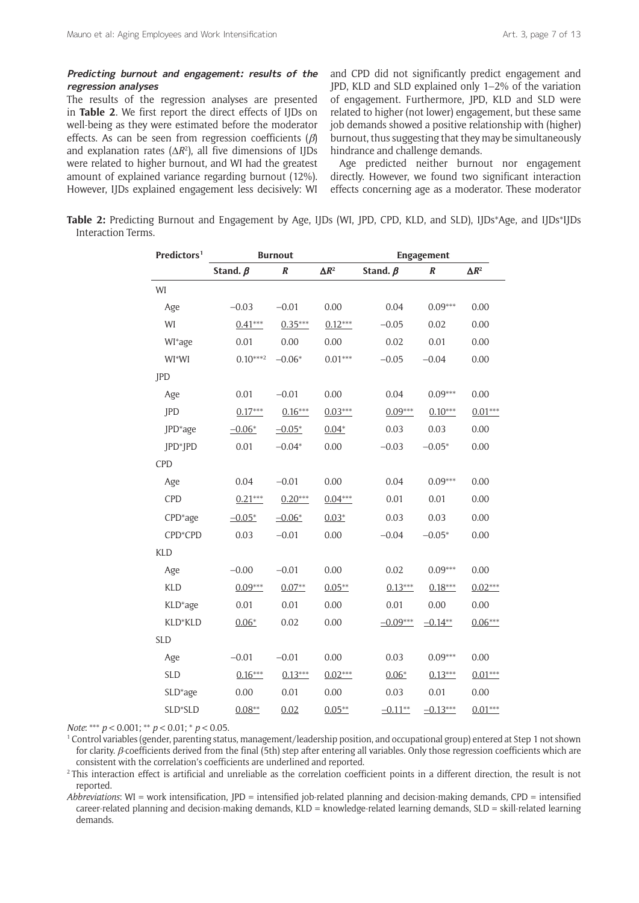#### **Predicting burnout and engagement: results of the regression analyses**

The results of the regression analyses are presented in **Table 2**. We first report the direct effects of IJDs on well-being as they were estimated before the moderator effects. As can be seen from regression coefficients ( $\beta$ ) and explanation rates  $(\Delta R^2)$ , all five dimensions of IJDs were related to higher burnout, and WI had the greatest amount of explained variance regarding burnout (12%). However, IJDs explained engagement less decisively: WI and CPD did not significantly predict engagement and JPD, KLD and SLD explained only 1–2% of the variation of engagement. Furthermore, JPD, KLD and SLD were related to higher (not lower) engagement, but these same job demands showed a positive relationship with (higher) burnout, thus suggesting that they may be simultaneously hindrance and challenge demands.

Age predicted neither burnout nor engagement directly. However, we found two significant interaction effects concerning age as a moderator. These moderator

**Table 2:** Predicting Burnout and Engagement by Age, IJDs (WI, JPD, CPD, KLD, and SLD), IJDs\*Age, and IJDs\*IJDs Interaction Terms.

| Predictors <sup>1</sup> | <b>Burnout</b> |           |                   | Engagement     |            |                   |
|-------------------------|----------------|-----------|-------------------|----------------|------------|-------------------|
|                         | Stand. $\beta$ | $\pmb{R}$ | $\Delta I\!\!R^2$ | Stand. $\beta$ | $\pmb{R}$  | $\Delta I\!\!R^2$ |
| WI                      |                |           |                   |                |            |                   |
| Age                     | $-0.03$        | $-0.01$   | 0.00              | 0.04           | $0.09***$  | 0.00              |
| WI                      | $0.41***$      | $0.35***$ | $0.12***$         | $-0.05$        | 0.02       | 0.00              |
| WI*age                  | 0.01           | 0.00      | 0.00              | 0.02           | 0.01       | 0.00              |
| WI*WI                   | $0.10***^2$    | $-0.06*$  | $0.01***$         | $-0.05$        | $-0.04$    | 0.00              |
| JPD                     |                |           |                   |                |            |                   |
| Age                     | 0.01           | $-0.01$   | 0.00              | 0.04           | $0.09***$  | 0.00              |
| JPD                     | $0.17***$      | $0.16***$ | $0.03***$         | $0.09***$      | $0.10***$  | $0.01***$         |
| JPD*age                 | $-0.06*$       | $-0.05*$  | $0.04*$           | 0.03           | 0.03       | 0.00              |
| JPD*JPD                 | 0.01           | $-0.04*$  | 0.00              | $-0.03$        | $-0.05*$   | 0.00              |
| <b>CPD</b>              |                |           |                   |                |            |                   |
| Age                     | 0.04           | $-0.01$   | 0.00              | 0.04           | $0.09***$  | 0.00              |
| <b>CPD</b>              | $0.21***$      | $0.20***$ | $0.04***$         | 0.01           | 0.01       | 0.00              |
| CPD*age                 | $-0.05*$       | $-0.06*$  | $0.03*$           | 0.03           | 0.03       | 0.00              |
| CPD*CPD                 | 0.03           | $-0.01$   | 0.00              | $-0.04$        | $-0.05*$   | 0.00              |
| <b>KLD</b>              |                |           |                   |                |            |                   |
| Age                     | $-0.00$        | $-0.01$   | 0.00              | 0.02           | $0.09***$  | 0.00              |
| <b>KLD</b>              | $0.09***$      | $0.07**$  | $0.05**$          | $0.13***$      | $0.18***$  | $0.02***$         |
| KLD*age                 | 0.01           | 0.01      | 0.00              | 0.01           | 0.00       | 0.00              |
| KLD*KLD                 | $0.06*$        | 0.02      | 0.00              | $-0.09***$     | $-0.14**$  | $0.06***$         |
| <b>SLD</b>              |                |           |                   |                |            |                   |
| Age                     | $-0.01$        | $-0.01$   | 0.00              | 0.03           | $0.09***$  | 0.00              |
| <b>SLD</b>              | $0.16***$      | $0.13***$ | $0.02***$         | $0.06*$        | $0.13***$  | $0.01***$         |
| SLD*age                 | 0.00           | 0.01      | 0.00              | 0.03           | 0.01       | 0.00              |
| SLD*SLD                 | $0.08**$       | 0.02      | $0.05**$          | $-0.11**$      | $-0.13***$ | $0.01***$         |

*Note*: \*\*\* *p* < 0.001; \*\* *p* < 0.01; \* *p* < 0.05.

1 Control variables (gender, parenting status, management/leadership position, and occupational group) entered at Step 1 not shown for clarity.  $β$ -coefficients derived from the final (5th) step after entering all variables. Only those regression coefficients which are consistent with the correlation's coefficients are underlined and reported. 2 This interaction effect is artificial and unreliable as the correlation coefficient points in a different direction, the result is not

reported.

*Abbreviations*: WI = work intensification, JPD = intensified job-related planning and decision-making demands, CPD = intensified career-related planning and decision-making demands, KLD = knowledge-related learning demands, SLD = skill-related learning demands.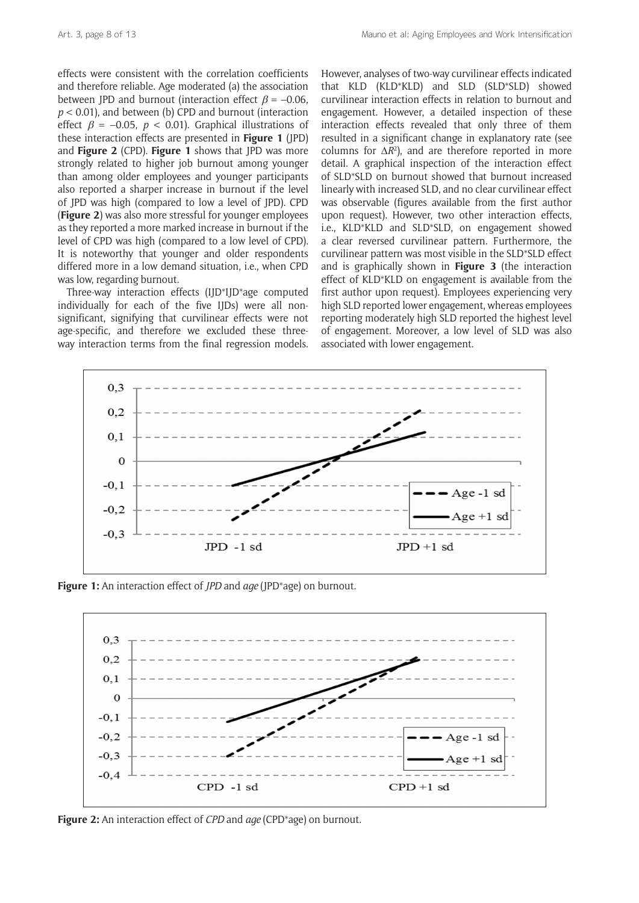effects were consistent with the correlation coefficients and therefore reliable. Age moderated (a) the association between JPD and burnout (interaction effect  $\beta = -0.06$ , *p* < 0.01), and between (b) CPD and burnout (interaction effect  $\beta = -0.05$ ,  $p < 0.01$ ). Graphical illustrations of these interaction effects are presented in **Figure 1** (JPD) and **Figure 2** (CPD). **Figure 1** shows that JPD was more strongly related to higher job burnout among younger than among older employees and younger participants also reported a sharper increase in burnout if the level of JPD was high (compared to low a level of JPD). CPD (**Figure 2**) was also more stressful for younger employees as they reported a more marked increase in burnout if the level of CPD was high (compared to a low level of CPD). It is noteworthy that younger and older respondents differed more in a low demand situation, i.e., when CPD was low, regarding burnout.

Three-way interaction effects (IJD\*IJD\*age computed individually for each of the five IJDs) were all nonsignificant, signifying that curvilinear effects were not age-specific, and therefore we excluded these threeway interaction terms from the final regression models.

However, analyses of two-way curvilinear effects indicated that KLD (KLD\*KLD) and SLD (SLD\*SLD) showed curvilinear interaction effects in relation to burnout and engagement. However, a detailed inspection of these interaction effects revealed that only three of them resulted in a significant change in explanatory rate (see columns for  $\Delta R^2$ ), and are therefore reported in more detail. A graphical inspection of the interaction effect of SLD\*SLD on burnout showed that burnout increased linearly with increased SLD, and no clear curvilinear effect was observable (figures available from the first author upon request). However, two other interaction effects, i.e., KLD\*KLD and SLD\*SLD, on engagement showed a clear reversed curvilinear pattern. Furthermore, the curvilinear pattern was most visible in the SLD\*SLD effect and is graphically shown in **Figure 3** (the interaction effect of KLD\*KLD on engagement is available from the first author upon request). Employees experiencing very high SLD reported lower engagement, whereas employees reporting moderately high SLD reported the highest level of engagement. Moreover, a low level of SLD was also associated with lower engagement.



**Figure 1:** An interaction effect of *JPD* and *age* (JPD\*age) on burnout.



**Figure 2:** An interaction effect of *CPD* and *age* (CPD\*age) on burnout.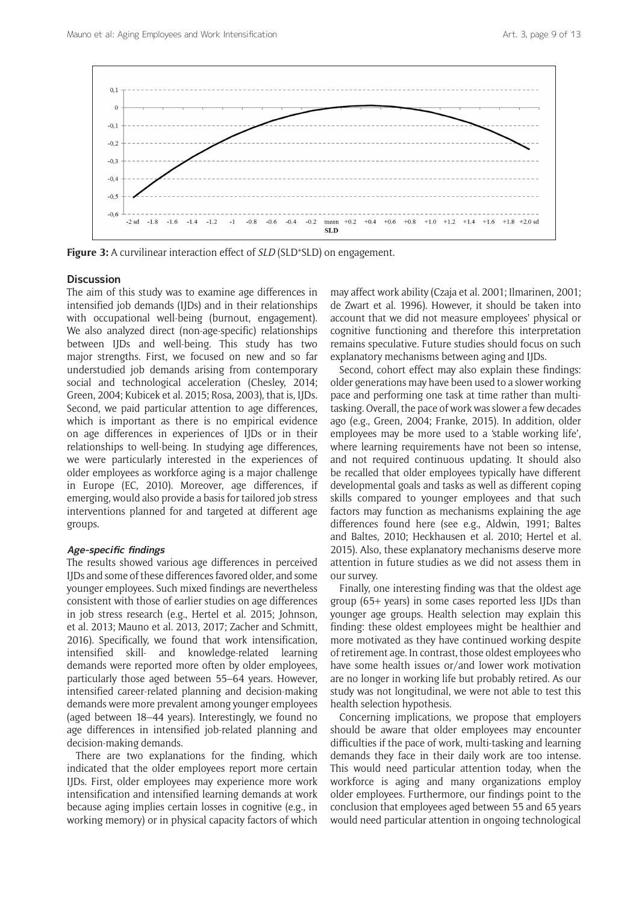

**Figure 3:** A curvilinear interaction effect of *SLD* (SLD\*SLD) on engagement.

# **Discussion**

The aim of this study was to examine age differences in intensified job demands (IJDs) and in their relationships with occupational well-being (burnout, engagement). We also analyzed direct (non-age-specific) relationships between IJDs and well-being. This study has two major strengths. First, we focused on new and so far understudied job demands arising from contemporary social and technological acceleration (Chesley, 2014; Green, 2004; Kubicek et al. 2015; Rosa, 2003), that is, IJDs. Second, we paid particular attention to age differences, which is important as there is no empirical evidence on age differences in experiences of IJDs or in their relationships to well-being. In studying age differences, we were particularly interested in the experiences of older employees as workforce aging is a major challenge in Europe (EC, 2010). Moreover, age differences, if emerging, would also provide a basis for tailored job stress interventions planned for and targeted at different age groups.

# **Age-specific findings**

The results showed various age differences in perceived IJDs and some of these differences favored older, and some younger employees. Such mixed findings are nevertheless consistent with those of earlier studies on age differences in job stress research (e.g., Hertel et al. 2015; Johnson, et al. 2013; Mauno et al. 2013, 2017; Zacher and Schmitt, 2016). Specifically, we found that work intensification, intensified skill- and knowledge-related learning demands were reported more often by older employees, particularly those aged between 55–64 years. However, intensified career-related planning and decision-making demands were more prevalent among younger employees (aged between 18–44 years). Interestingly, we found no age differences in intensified job-related planning and decision-making demands.

There are two explanations for the finding, which indicated that the older employees report more certain IJDs. First, older employees may experience more work intensification and intensified learning demands at work because aging implies certain losses in cognitive (e.g., in working memory) or in physical capacity factors of which

may affect work ability (Czaja et al. 2001; Ilmarinen, 2001; de Zwart et al. 1996). However, it should be taken into account that we did not measure employees' physical or cognitive functioning and therefore this interpretation remains speculative. Future studies should focus on such explanatory mechanisms between aging and IJDs.

Second, cohort effect may also explain these findings: older generations may have been used to a slower working pace and performing one task at time rather than multitasking. Overall, the pace of work was slower a few decades ago (e.g., Green, 2004; Franke, 2015). In addition, older employees may be more used to a 'stable working life', where learning requirements have not been so intense, and not required continuous updating. It should also be recalled that older employees typically have different developmental goals and tasks as well as different coping skills compared to younger employees and that such factors may function as mechanisms explaining the age differences found here (see e.g., Aldwin, 1991; Baltes and Baltes, 2010; Heckhausen et al. 2010; Hertel et al. 2015). Also, these explanatory mechanisms deserve more attention in future studies as we did not assess them in our survey.

Finally, one interesting finding was that the oldest age group (65+ years) in some cases reported less IJDs than younger age groups. Health selection may explain this finding: these oldest employees might be healthier and more motivated as they have continued working despite of retirement age. In contrast, those oldest employees who have some health issues or/and lower work motivation are no longer in working life but probably retired. As our study was not longitudinal, we were not able to test this health selection hypothesis.

Concerning implications, we propose that employers should be aware that older employees may encounter difficulties if the pace of work, multi-tasking and learning demands they face in their daily work are too intense. This would need particular attention today, when the workforce is aging and many organizations employ older employees. Furthermore, our findings point to the conclusion that employees aged between 55 and 65 years would need particular attention in ongoing technological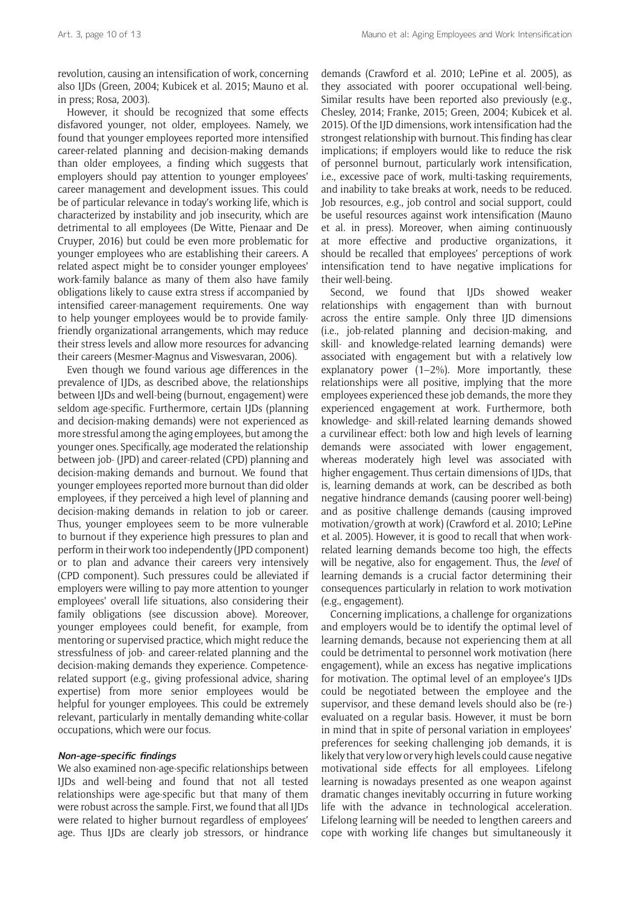revolution, causing an intensification of work, concerning also IJDs (Green, 2004; Kubicek et al. 2015; Mauno et al. in press; Rosa, 2003).

However, it should be recognized that some effects disfavored younger, not older, employees. Namely, we found that younger employees reported more intensified career-related planning and decision-making demands than older employees, a finding which suggests that employers should pay attention to younger employees' career management and development issues. This could be of particular relevance in today's working life, which is characterized by instability and job insecurity, which are detrimental to all employees (De Witte, Pienaar and De Cruyper, 2016) but could be even more problematic for younger employees who are establishing their careers. A related aspect might be to consider younger employees' work-family balance as many of them also have family obligations likely to cause extra stress if accompanied by intensified career-management requirements. One way to help younger employees would be to provide familyfriendly organizational arrangements, which may reduce their stress levels and allow more resources for advancing their careers (Mesmer-Magnus and Viswesvaran, 2006).

Even though we found various age differences in the prevalence of IJDs, as described above, the relationships between IJDs and well-being (burnout, engagement) were seldom age-specific. Furthermore, certain IJDs (planning and decision-making demands) were not experienced as more stressful among the aging employees, but among the younger ones. Specifically, age moderated the relationship between job- (JPD) and career-related (CPD) planning and decision-making demands and burnout. We found that younger employees reported more burnout than did older employees, if they perceived a high level of planning and decision-making demands in relation to job or career. Thus, younger employees seem to be more vulnerable to burnout if they experience high pressures to plan and perform in their work too independently (JPD component) or to plan and advance their careers very intensively (CPD component). Such pressures could be alleviated if employers were willing to pay more attention to younger employees' overall life situations, also considering their family obligations (see discussion above). Moreover, younger employees could benefit, for example, from mentoring or supervised practice, which might reduce the stressfulness of job- and career-related planning and the decision-making demands they experience. Competencerelated support (e.g., giving professional advice, sharing expertise) from more senior employees would be helpful for younger employees. This could be extremely relevant, particularly in mentally demanding white-collar occupations, which were our focus.

# **Non-age-specific findings**

We also examined non-age-specific relationships between IJDs and well-being and found that not all tested relationships were age-specific but that many of them were robust across the sample. First, we found that all IJDs were related to higher burnout regardless of employees' age. Thus IJDs are clearly job stressors, or hindrance demands (Crawford et al. 2010; LePine et al. 2005), as they associated with poorer occupational well-being. Similar results have been reported also previously (e.g., Chesley, 2014; Franke, 2015; Green, 2004; Kubicek et al. 2015). Of the IJD dimensions, work intensification had the strongest relationship with burnout. This finding has clear implications; if employers would like to reduce the risk of personnel burnout, particularly work intensification, i.e., excessive pace of work, multi-tasking requirements, and inability to take breaks at work, needs to be reduced. Job resources, e.g., job control and social support, could be useful resources against work intensification (Mauno et al. in press). Moreover, when aiming continuously at more effective and productive organizations, it should be recalled that employees' perceptions of work intensification tend to have negative implications for their well-being.

Second, we found that IIDs showed weaker relationships with engagement than with burnout across the entire sample. Only three IJD dimensions (i.e., job-related planning and decision-making, and skill- and knowledge-related learning demands) were associated with engagement but with a relatively low explanatory power  $(1-2\%)$ . More importantly, these relationships were all positive, implying that the more employees experienced these job demands, the more they experienced engagement at work. Furthermore, both knowledge- and skill-related learning demands showed a curvilinear effect: both low and high levels of learning demands were associated with lower engagement, whereas moderately high level was associated with higher engagement. Thus certain dimensions of IJDs, that is, learning demands at work, can be described as both negative hindrance demands (causing poorer well-being) and as positive challenge demands (causing improved motivation/growth at work) (Crawford et al. 2010; LePine et al. 2005). However, it is good to recall that when workrelated learning demands become too high, the effects will be negative, also for engagement. Thus, the *level* of learning demands is a crucial factor determining their consequences particularly in relation to work motivation (e.g., engagement).

Concerning implications, a challenge for organizations and employers would be to identify the optimal level of learning demands, because not experiencing them at all could be detrimental to personnel work motivation (here engagement), while an excess has negative implications for motivation. The optimal level of an employee's IJDs could be negotiated between the employee and the supervisor, and these demand levels should also be (re-) evaluated on a regular basis. However, it must be born in mind that in spite of personal variation in employees' preferences for seeking challenging job demands, it is likely that very low or very high levels could cause negative motivational side effects for all employees. Lifelong learning is nowadays presented as one weapon against dramatic changes inevitably occurring in future working life with the advance in technological acceleration. Lifelong learning will be needed to lengthen careers and cope with working life changes but simultaneously it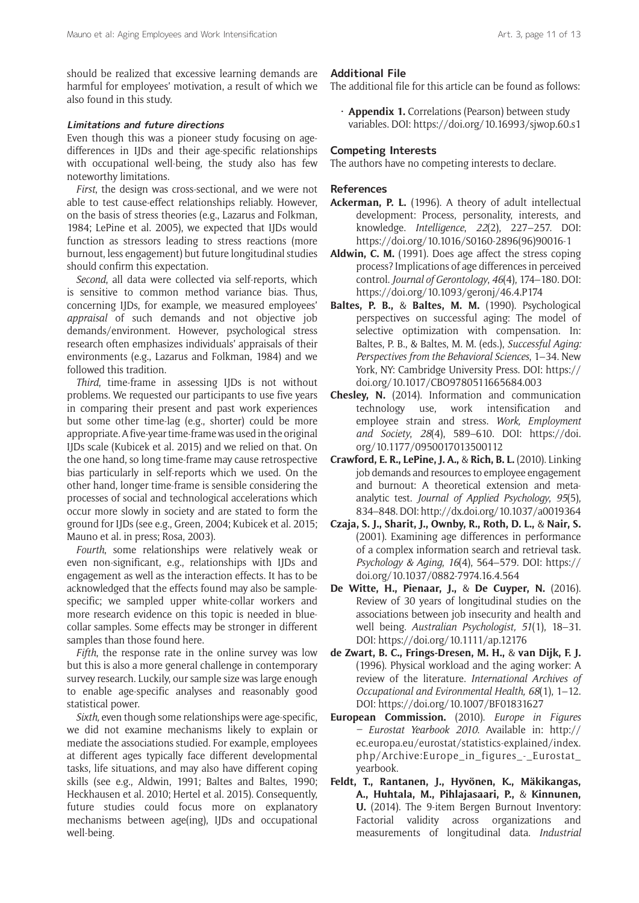should be realized that excessive learning demands are harmful for employees' motivation, a result of which we also found in this study.

#### **Limitations and future directions**

Even though this was a pioneer study focusing on agedifferences in IJDs and their age-specific relationships with occupational well-being, the study also has few noteworthy limitations.

*First*, the design was cross-sectional, and we were not able to test cause-effect relationships reliably. However, on the basis of stress theories (e.g., Lazarus and Folkman, 1984; LePine et al. 2005), we expected that IJDs would function as stressors leading to stress reactions (more burnout, less engagement) but future longitudinal studies should confirm this expectation.

*Second*, all data were collected via self-reports, which is sensitive to common method variance bias. Thus, concerning IJDs, for example, we measured employees' *appraisal* of such demands and not objective job demands/environment. However, psychological stress research often emphasizes individuals' appraisals of their environments (e.g., Lazarus and Folkman, 1984) and we followed this tradition.

*Third*, time-frame in assessing IJDs is not without problems. We requested our participants to use five years in comparing their present and past work experiences but some other time-lag (e.g., shorter) could be more appropriate. A five-year time-frame was used in the original IJDs scale (Kubicek et al. 2015) and we relied on that. On the one hand, so long time-frame may cause retrospective bias particularly in self-reports which we used. On the other hand, longer time-frame is sensible considering the processes of social and technological accelerations which occur more slowly in society and are stated to form the ground for IJDs (see e.g., Green, 2004; Kubicek et al. 2015; Mauno et al. in press; Rosa, 2003).

*Fourth*, some relationships were relatively weak or even non-significant, e.g., relationships with IJDs and engagement as well as the interaction effects. It has to be acknowledged that the effects found may also be samplespecific; we sampled upper white-collar workers and more research evidence on this topic is needed in bluecollar samples. Some effects may be stronger in different samples than those found here.

*Fifth*, the response rate in the online survey was low but this is also a more general challenge in contemporary survey research. Luckily, our sample size was large enough to enable age-specific analyses and reasonably good statistical power.

*Sixth,* even though some relationships were age-specific, we did not examine mechanisms likely to explain or mediate the associations studied. For example, employees at different ages typically face different developmental tasks, life situations, and may also have different coping skills (see e.g., Aldwin, 1991; Baltes and Baltes, 1990; Heckhausen et al. 2010; Hertel et al. 2015). Consequently, future studies could focus more on explanatory mechanisms between age(ing), IJDs and occupational well-being.

### **Additional File**

The additional file for this article can be found as follows:

• **Appendix 1.** Correlations (Pearson) between study variables. DOI:<https://doi.org/10.16993/sjwop.60.s1>

#### **Competing Interests**

The authors have no competing interests to declare.

#### **References**

- **Ackerman, P. L.** (1996). A theory of adult intellectual development: Process, personality, interests, and knowledge. *Intelligence*, *22*(2), 227–257. DOI: [https://doi.org/10.1016/S0160-2896\(96\)90016-1](https://doi.org/10.1016/S0160-2896(96)90016-1)
- **Aldwin, C. M.** (1991). Does age affect the stress coping process? Implications of age differences in perceived control. *Journal of Gerontology*, *46*(4), 174–180. DOI: [https://doi.org/10.1093/geronj/46.4.P174](https://doi.org/10.1093/geronj/46.4.P174 )
- **Baltes, P. B.,** & **Baltes, M. M.** (1990). Psychological perspectives on successful aging: The model of selective optimization with compensation. In: Baltes, P. B., & Baltes, M. M. (eds.), *Successful Aging: Perspectives from the Behavioral Sciences*, 1–34. New York, NY: Cambridge University Press. DOI: [https://](https://doi.org/10.1017/CBO9780511665684.003) [doi.org/10.1017/CBO9780511665684.003](https://doi.org/10.1017/CBO9780511665684.003)
- **Chesley, N.** (2014). Information and communication technology use, work intensification and employee strain and stress. *Work, Employment and Society*, *28*(4), 589–610. DOI: [https://doi.](https://doi.org/10.1177/0950017013500112) [org/10.1177/0950017013500112](https://doi.org/10.1177/0950017013500112)
- **Crawford, E. R., LePine, J. A.,** & **Rich, B. L.** (2010). Linking job demands and resources to employee engagement and burnout: A theoretical extension and metaanalytic test. *Journal of Applied Psychology*, *95*(5), 834–848. DOI:<http://dx.doi.org/10.1037/a0019364>
- **Czaja, S. J., Sharit, J., Ownby, R., Roth, D. L.,** & **Nair, S.** (2001). Examining age differences in performance of a complex information search and retrieval task. *Psychology & Aging*, *16*(4), 564–579. DOI: [https://](https://doi.org/10.1037/0882-7974.16.4.564) [doi.org/10.1037/0882-7974.16.4.564](https://doi.org/10.1037/0882-7974.16.4.564)
- **De Witte, H., Pienaar, J.,** & **De Cuyper, N.** (2016). Review of 30 years of longitudinal studies on the associations between job insecurity and health and well being. *Australian Psychologist, 51*(1), 18–31. DOI: <https://doi.org/10.1111/ap.12176>
- **de Zwart, B. C., Frings-Dresen, M. H.,** & **van Dijk, F. J.** (1996). Physical workload and the aging worker: A review of the literature. *International Archives of Occupational and Evironmental Health, 68*(1), 1–12. DOI: <https://doi.org/10.1007/BF01831627>
- **European Commission.** (2010). *Europe in Figures – Eurostat Yearbook 2010*. Available in: [http://](http://ec.europa.eu/eurostat/statistics-explained/index.php/Archive:Europe_in_figures_-_Eurostat_yearbook) [ec.europa.eu/eurostat/statistics-explained/index.](http://ec.europa.eu/eurostat/statistics-explained/index.php/Archive:Europe_in_figures_-_Eurostat_yearbook) [php/Archive:Europe\\_in\\_figures\\_-\\_Eurostat\\_](http://ec.europa.eu/eurostat/statistics-explained/index.php/Archive:Europe_in_figures_-_Eurostat_yearbook) [yearbook](http://ec.europa.eu/eurostat/statistics-explained/index.php/Archive:Europe_in_figures_-_Eurostat_yearbook).
- **Feldt, T., Rantanen, J., Hyvönen, K., Mäkikangas, A., Huhtala, M., Pihlajasaari, P.,** & **Kinnunen, U.** (2014). The 9-item Bergen Burnout Inventory: Factorial validity across organizations and measurements of longitudinal data. *Industrial*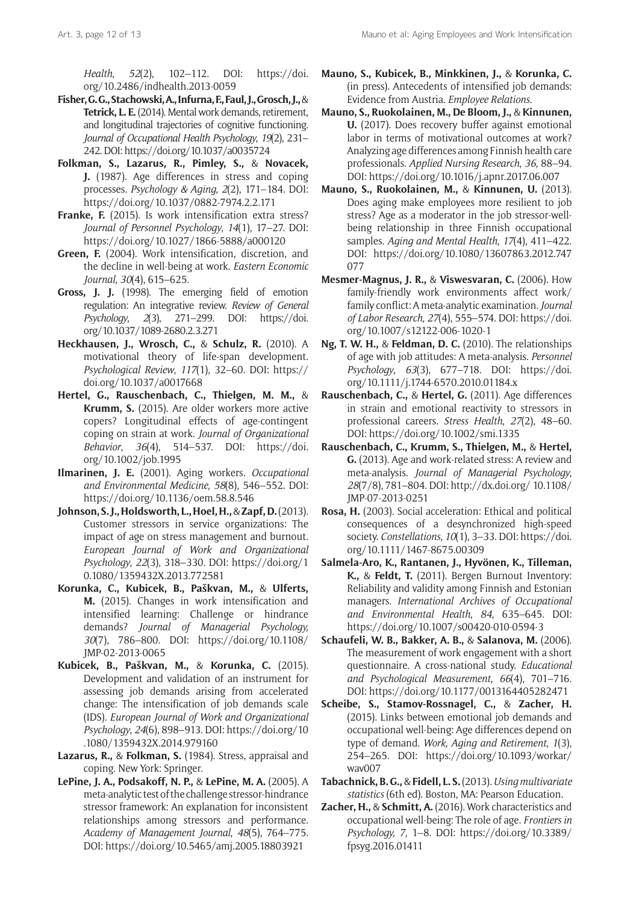*Health*, *52*(2), 102–112. DOI: [https://doi.](https://doi.org/10.2486/indhealth.2013-0059) [org/10.2486/indhealth.2013-0059](https://doi.org/10.2486/indhealth.2013-0059)

- **Fisher, G. G., Stachowski, A., Infurna, F., Faul, J., Grosch, J.,** & **Tetrick, L. E.** (2014). Mental work demands, retirement, and longitudinal trajectories of cognitive functioning. *Journal of Occupational Health Psychology*, *19*(2), 231– 242. DOI:<https://doi.org/10.1037/a0035724>
- **Folkman, S., Lazarus, R., Pimley, S.,** & **Novacek, J.** (1987). Age differences in stress and coping processes. *Psychology & Aging*, *2*(2), 171–184. DOI: <https://doi.org/10.1037/0882-7974.2.2.171>
- **Franke, F.** (2015). Is work intensification extra stress? *Journal of Personnel Psychology*, *14*(1), 17–27. DOI: <https://doi.org/10.1027/1866-5888/a000120>
- **Green, F.** (2004). Work intensification, discretion, and the decline in well-being at work. *Eastern Economic Journal*, *30*(4), 615–625.
- **Gross, J. J.** (1998). The emerging field of emotion regulation: An integrative review. *Review of General Psychology*, *2*(3), 271–299. DOI: [https://doi.](https://doi.org/10.1037/1089-2680.2.3.271) [org/10.1037/1089-2680.2.3.271](https://doi.org/10.1037/1089-2680.2.3.271)
- **Heckhausen, J., Wrosch, C.,** & **Schulz, R.** (2010). A motivational theory of life-span development. *Psychological Review*, *117*(1), 32–60. DOI: [https://](https://doi.org/10.1037/a0017668) [doi.org/10.1037/a0017668](https://doi.org/10.1037/a0017668)
- **Hertel, G., Rauschenbach, C., Thielgen, M. M.,** & **Krumm, S.** (2015). Are older workers more active copers? Longitudinal effects of age-contingent coping on strain at work. *Journal of Organizational Behavior*, *36*(4), 514–537. DOI: [https://doi.](https://doi.org/10.1002/job.1995) [org/10.1002/job.1995](https://doi.org/10.1002/job.1995)
- **Ilmarinen, J. E.** (2001). Aging workers. *Occupational and Environmental Medicine*, *58*(8), 546–552. DOI: <https://doi.org/10.1136/oem.58.8.546>
- **Johnson, S. J., Holdsworth, L., Hoel, H.,** & **Zapf, D.** (2013). Customer stressors in service organizations: The impact of age on stress management and burnout. *European Journal of Work and Organizational Psychology*, *22*(3), 318–330. DOI: [https://doi.org/1](https://doi.org/10.1080/1359432X.2013.772581) [0.1080/1359432X.2013.772581](https://doi.org/10.1080/1359432X.2013.772581)
- **Korunka, C., Kubicek, B., Paškvan, M.,** & **Ulferts, M.** (2015). Changes in work intensification and intensified learning: Challenge or hindrance demands? *Journal of Managerial Psychology, 30*(7), 786–800. DOI: [https://doi.org/10.1108/](https://doi.org/10.1108/JMP-02-2013-0065) [JMP-02-2013-0065](https://doi.org/10.1108/JMP-02-2013-0065)
- **Kubicek, B., Paškvan, M.,** & **Korunka, C.** (2015). Development and validation of an instrument for assessing job demands arising from accelerated change: The intensification of job demands scale (IDS). *European Journal of Work and Organizational Psychology*, *24*(6), 898–913. DOI: [https://doi.org/10](https://doi.org/10.1080/1359432X.2014.979160) [.1080/1359432X.2014.979160](https://doi.org/10.1080/1359432X.2014.979160)
- **Lazarus, R.,** & **Folkman, S.** (1984). Stress, appraisal and coping. New York: Springer.
- **LePine, J. A., Podsakoff, N. P.,** & **LePine, M. A.** (2005). A meta-analytic test of the challenge stressor-hindrance stressor framework: An explanation for inconsistent relationships among stressors and performance. *Academy of Management Journal*, *48*(5), 764–775. DOI:<https://doi.org/10.5465/amj.2005.18803921>
- **Mauno, S., Kubicek, B., Minkkinen, J.,** & **Korunka, C.** (in press). Antecedents of intensified job demands: Evidence from Austria. *Employee Relations*.
- **Mauno, S., Ruokolainen, M., De Bloom, J.,** & **Kinnunen, U.** (2017). Does recovery buffer against emotional labor in terms of motivational outcomes at work? Analyzing age differences among Finnish health care professionals. *Applied Nursing Research*, *36*, 88–94. DOI:<https://doi.org/10.1016/j.apnr.2017.06.007>
- **Mauno, S., Ruokolainen, M.,** & **Kinnunen, U.** (2013). Does aging make employees more resilient to job stress? Age as a moderator in the job stressor-wellbeing relationship in three Finnish occupational samples. *Aging and Mental Health*, *17*(4), 411–422. DOI: [https://doi.org/10.1080/13607863.2012.747](https://doi.org/10.1080/13607863.2012.747077) [077](https://doi.org/10.1080/13607863.2012.747077)
- **Mesmer-Magnus, J. R.,** & **Viswesvaran, C.** (2006). How family-friendly work environments affect work/ family conflict: A meta-analytic examination. *Journal of Labor Research, 27*(4), 555–574. DOI: [https://doi.](https://doi.org/10.1007/s12122-006-1020-1) [org/10.1007/s12122-006-1020-1](https://doi.org/10.1007/s12122-006-1020-1)
- **Ng, T. W. H.,** & **Feldman, D. C.** (2010). The relationships of age with job attitudes: A meta-analysis. *Personnel Psychology*, *63*(3), 677–718. DOI: [https://doi.](https://doi.org/10.1111/j.1744-6570.2010.01184.x) [org/10.1111/j.1744-6570.2010.01184.x](https://doi.org/10.1111/j.1744-6570.2010.01184.x)
- **Rauschenbach, C.,** & **Hertel, G.** (2011). Age differences in strain and emotional reactivity to stressors in professional careers. *Stress Health*, *27*(2), 48–60. DOI:<https://doi.org/10.1002/smi.1335>
- **Rauschenbach, C., Krumm, S., Thielgen, M.,** & **Hertel, G.** (2013). Age and work-related stress: A review and meta-analysis. *Journal of Managerial Psychology*, *28*(7/8), 781–804. DOI: [http://dx.doi.org/ 10.1108/](http://dx.doi.org/ 10.1108/JMP-07-2013-0251) [JMP-07-2013-0251](http://dx.doi.org/ 10.1108/JMP-07-2013-0251)
- **Rosa, H.** (2003). Social acceleration: Ethical and political consequences of a desynchronized high-speed society. *Constellations*, *10*(1), 3–33. DOI: [https://doi.](https://doi.org/10.1111/1467-8675.00309) [org/10.1111/1467-8675.00309](https://doi.org/10.1111/1467-8675.00309)
- **Salmela-Aro, K., Rantanen, J., Hyvönen, K., Tilleman, K.,** & **Feldt, T.** (2011). Bergen Burnout Inventory: Reliability and validity among Finnish and Estonian managers. *International Archives of Occupational and Environmental Health*, *84*, 635–645. DOI: <https://doi.org/10.1007/s00420-010-0594-3>
- **Schaufeli, W. B., Bakker, A. B.,** & **Salanova, M.** (2006). The measurement of work engagement with a short questionnaire. A cross-national study. *Educational and Psychological Measurement*, *66*(4), 701–716. DOI:<https://doi.org/10.1177/0013164405282471>
- **Scheibe, S., Stamov-Rossnagel, C.,** & **Zacher, H.** (2015). Links between emotional job demands and occupational well-being: Age differences depend on type of demand. *Work, Aging and Retirement*, *1*(3), 254–265. DOI: [https://doi.org/10.1093/workar/](https://doi.org/10.1093/workar/wav007) [wav007](https://doi.org/10.1093/workar/wav007)
- **Tabachnick, B. G.,** & **Fidell, L. S.** (2013). *Using multivariate statistics* (6th ed). Boston, MA: Pearson Education.
- **Zacher, H.,** & **Schmitt, A.** (2016). Work characteristics and occupational well-being: The role of age. *Frontiers in Psychology, 7*, 1–8. DOI: [https://doi.org/10.3389/](https://doi.org/10.3389/fpsyg.2016.01411) [fpsyg.2016.01411](https://doi.org/10.3389/fpsyg.2016.01411)